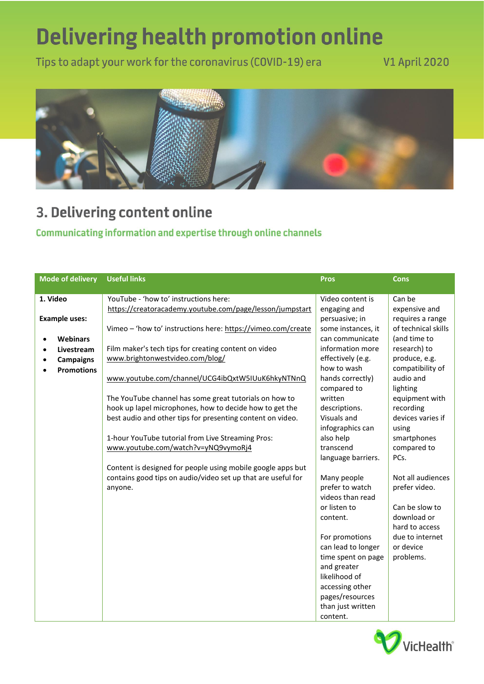## **Delivering health promotion online**

Tips to adapt your work for the coronavirus (COVID-19) era

## **V1 April 2020**



## 3. Delivering content online

## Communicating information and expertise through online channels

| <b>Mode of delivery</b>      | <b>Useful links</b>                                          | <b>Pros</b>        | <b>Cons</b>         |
|------------------------------|--------------------------------------------------------------|--------------------|---------------------|
| 1. Video                     | YouTube - 'how to' instructions here:                        | Video content is   | Can be              |
|                              | https://creatoracademy.youtube.com/page/lesson/jumpstart     | engaging and       | expensive and       |
| <b>Example uses:</b>         |                                                              | persuasive; in     | requires a range    |
|                              | Vimeo - 'how to' instructions here: https://vimeo.com/create | some instances, it | of technical skills |
| <b>Webinars</b><br>$\bullet$ |                                                              | can communicate    | (and time to        |
| Livestream<br>$\bullet$      | Film maker's tech tips for creating content on video         | information more   | research) to        |
| <b>Campaigns</b>             | www.brightonwestvideo.com/blog/                              | effectively (e.g.  | produce, e.g.       |
| <b>Promotions</b>            |                                                              | how to wash        | compatibility of    |
|                              | www.youtube.com/channel/UCG4ibQxtW5IUuK6hkyNTNnQ             | hands correctly)   | audio and           |
|                              |                                                              | compared to        | lighting            |
|                              | The YouTube channel has some great tutorials on how to       | written            | equipment with      |
|                              | hook up lapel microphones, how to decide how to get the      | descriptions.      | recording           |
|                              | best audio and other tips for presenting content on video.   | Visuals and        | devices varies if   |
|                              |                                                              | infographics can   | using               |
|                              | 1-hour YouTube tutorial from Live Streaming Pros:            | also help          | smartphones         |
|                              | www.youtube.com/watch?v=yNQ9vymoRj4                          | transcend          | compared to         |
|                              |                                                              | language barriers. | PCs.                |
|                              | Content is designed for people using mobile google apps but  |                    |                     |
|                              | contains good tips on audio/video set up that are useful for | Many people        | Not all audiences   |
|                              | anyone.                                                      | prefer to watch    | prefer video.       |
|                              |                                                              | videos than read   |                     |
|                              |                                                              | or listen to       | Can be slow to      |
|                              |                                                              | content.           | download or         |
|                              |                                                              |                    | hard to access      |
|                              |                                                              | For promotions     | due to internet     |
|                              |                                                              | can lead to longer | or device           |
|                              |                                                              | time spent on page | problems.           |
|                              |                                                              | and greater        |                     |
|                              |                                                              | likelihood of      |                     |
|                              |                                                              | accessing other    |                     |
|                              |                                                              | pages/resources    |                     |
|                              |                                                              | than just written  |                     |
|                              |                                                              | content.           |                     |